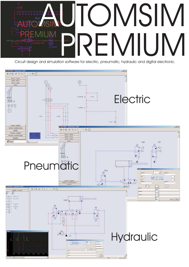

Circuit design and simulation software for electric, pneumatic, hydraulic and digital electronic.